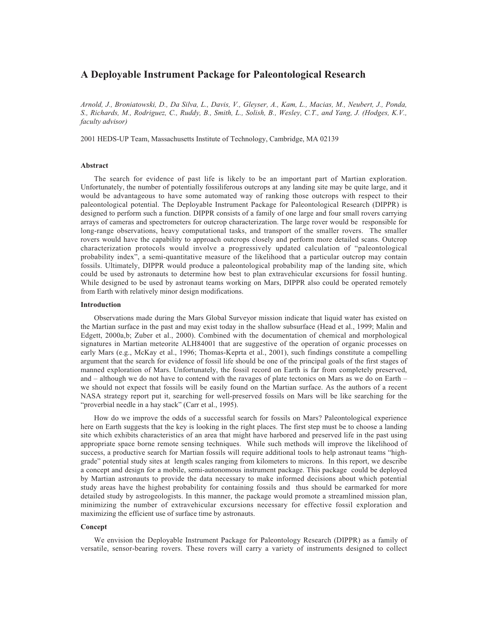# **A Deployable Instrument Package for Paleontological Research**

*Arnold, J., Broniatowski, D., Da Silva, L., Davis, V., Gleyser, A., Kam, L., Macias, M., Neubert, J., Ponda, S., Richards, M., Rodriguez, C., Ruddy, B., Smith, L., Solish, B., Wesley, C.T., and Yang, J. (Hodges, K.V., faculty advisor)*

2001 HEDS-UP Team, Massachusetts Institute of Technology, Cambridge, MA 02139

#### **Abstract**

The search for evidence of past life is likely to be an important part of Martian exploration. Unfortunately, the number of potentially fossiliferous outcrops at any landing site may be quite large, and it would be advantageous to have some automated way of ranking those outcrops with respect to their paleontological potential. The Deployable Instrument Package for Paleontological Research (DIPPR) is designed to perform such a function. DIPPR consists of a family of one large and four small rovers carrying arrays of cameras and spectrometers for outcrop characterization. The large rover would be responsible for long-range observations, heavy computational tasks, and transport of the smaller rovers. The smaller rovers would have the capability to approach outcrops closely and perform more detailed scans. Outcrop characterization protocols would involve a progressively updated calculation of "paleontological probability index", a semi-quantitative measure of the likelihood that a particular outcrop may contain fossils. Ultimately, DIPPR would produce a paleontological probability map of the landing site, which could be used by astronauts to determine how best to plan extravehicular excursions for fossil hunting. While designed to be used by astronaut teams working on Mars, DIPPR also could be operated remotely from Earth with relatively minor design modifications.

#### **Introduction**

Observations made during the Mars Global Surveyor mission indicate that liquid water has existed on the Martian surface in the past and may exist today in the shallow subsurface (Head et al., 1999; Malin and Edgett, 2000a,b; Zuber et al., 2000). Combined with the documentation of chemical and morphological signatures in Martian meteorite ALH84001 that are suggestive of the operation of organic processes on early Mars (e.g., McKay et al., 1996; Thomas-Keprta et al., 2001), such findings constitute a compelling argument that the search for evidence of fossil life should be one of the principal goals of the first stages of manned exploration of Mars. Unfortunately, the fossil record on Earth is far from completely preserved, and – although we do not have to contend with the ravages of plate tectonics on Mars as we do on Earth – we should not expect that fossils will be easily found on the Martian surface. As the authors of a recent NASA strategy report put it, searching for well-preserved fossils on Mars will be like searching for the "proverbial needle in a hay stack" (Carr et al., 1995).

How do we improve the odds of a successful search for fossils on Mars? Paleontological experience here on Earth suggests that the key is looking in the right places. The first step must be to choose a landing site which exhibits characteristics of an area that might have harbored and preserved life in the past using appropriate space borne remote sensing techniques. While such methods will improve the likelihood of success, a productive search for Martian fossils will require additional tools to help astronaut teams "highgrade" potential study sites at length scales ranging from kilometers to microns. In this report, we describe a concept and design for a mobile, semi-autonomous instrument package. This package could be deployed by Martian astronauts to provide the data necessary to make informed decisions about which potential study areas have the highest probability for containing fossils and thus should be earmarked for more detailed study by astrogeologists. In this manner, the package would promote a streamlined mission plan, minimizing the number of extravehicular excursions necessary for effective fossil exploration and maximizing the efficient use of surface time by astronauts.

## **Concept**

We envision the Deployable Instrument Package for Paleontology Research (DIPPR) as a family of versatile, sensor-bearing rovers. These rovers will carry a variety of instruments designed to collect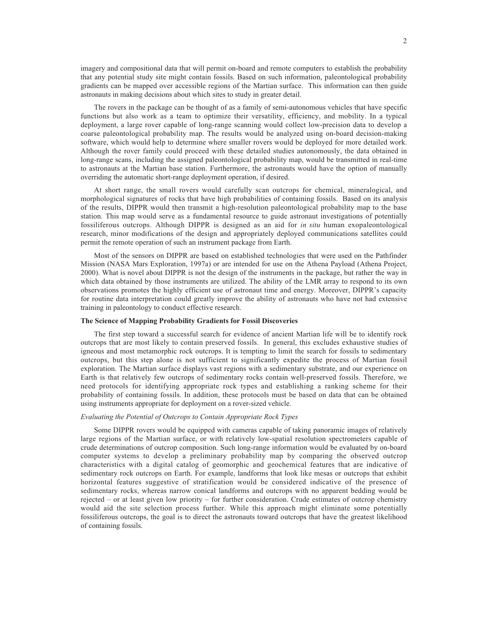imagery and compositional data that will permit on-board and remote computers to establish the probability that any potential study site might contain fossils. Based on such information, paleontological probability gradients can be mapped over accessible regions of the Martian surface. This information can then guide astronauts in making decisions about which sites to study in greater detail.

The rovers in the package can be thought of as a family of semi-autonomous vehicles that have specific functions but also work as a team to optimize their versatility, efficiency, and mobility. In a typical deployment, a large rover capable of long-range scanning would collect low-precision data to develop a coarse paleontological probability map. The results would be analyzed using on-board decision-making software, which would help to determine where smaller rovers would be deployed for more detailed work. Although the rover family could proceed with these detailed studies autonomously, the data obtained in long-range scans, including the assigned paleontological probability map, would be transmitted in real-time to astronauts at the Martian base station. Furthermore, the astronauts would have the option of manually overriding the automatic short-range deployment operation, if desired.

At short range, the small rovers would carefully scan outcrops for chemical, mineralogical, and morphological signatures of rocks that have high probabilities of containing fossils. Based on its analysis of the results, DIPPR would then transmit a high-resolution paleontological probability map to the base station. This map would serve as a fundamental resource to guide astronaut investigations of potentially fossiliferous outcrops. Although DIPPR is designed as an aid for *in situ* human exopaleontological research, minor modifications of the design and appropriately deployed communications satellites could permit the remote operation of such an instrument package from Earth.

Most of the sensors on DIPPR are based on established technologies that were used on the Pathfinder Mission (NASA Mars Exploration, 1997a) or are intended for use on the Athena Payload (Athena Project, 2000). What is novel about DIPPR is not the design of the instruments in the package, but rather the way in which data obtained by those instruments are utilized. The ability of the LMR array to respond to its own observations promotes the highly efficient use of astronaut time and energy. Moreover, DIPPR's capacity for routine data interpretation could greatly improve the ability of astronauts who have not had extensive training in paleontology to conduct effective research.

# **The Science of Mapping Probability Gradients for Fossil Discoveries**

The first step toward a successful search for evidence of ancient Martian life will be to identify rock outcrops that are most likely to contain preserved fossils. In general, this excludes exhaustive studies of igneous and most metamorphic rock outcrops. It is tempting to limit the search for fossils to sedimentary outcrops, but this step alone is not sufficient to significantly expedite the process of Martian fossil exploration. The Martian surface displays vast regions with a sedimentary substrate, and our experience on Earth is that relatively few outcrops of sedimentary rocks contain well-preserved fossils. Therefore, we need protocols for identifying appropriate rock types and establishing a ranking scheme for their probability of containing fossils. In addition, these protocols must be based on data that can be obtained using instruments appropriate for deployment on a rover-sized vehicle.

## *Evaluating the Potential of Outcrops to Contain Appropriate Rock Types*

Some DIPPR rovers would be equipped with cameras capable of taking panoramic images of relatively large regions of the Martian surface, or with relatively low-spatial resolution spectrometers capable of crude determinations of outcrop composition. Such long-range information would be evaluated by on-board computer systems to develop a preliminary probability map by comparing the observed outcrop characteristics with a digital catalog of geomorphic and geochemical features that are indicative of sedimentary rock outcrops on Earth. For example, landforms that look like mesas or outcrops that exhibit horizontal features suggestive of stratification would be considered indicative of the presence of sedimentary rocks, whereas narrow conical landforms and outcrops with no apparent bedding would be rejected – or at least given low priority – for further consideration. Crude estimates of outcrop chemistry would aid the site selection process further. While this approach might eliminate some potentially fossiliferous outcrops, the goal is to direct the astronauts toward outcrops that have the greatest likelihood of containing fossils.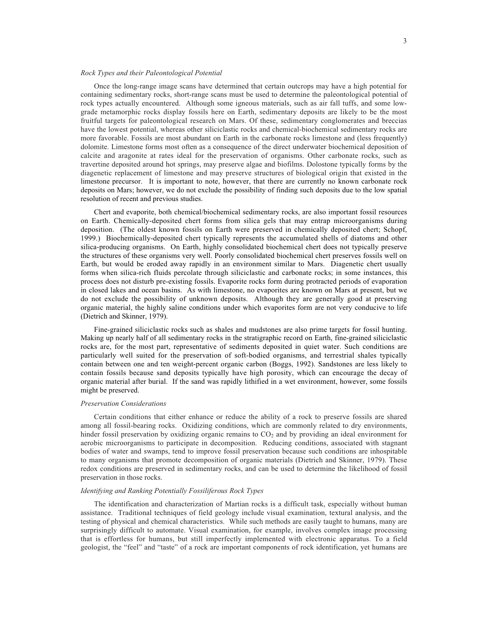## *Rock Types and their Paleontological Potential*

Once the long-range image scans have determined that certain outcrops may have a high potential for containing sedimentary rocks, short-range scans must be used to determine the paleontological potential of rock types actually encountered. Although some igneous materials, such as air fall tuffs, and some lowgrade metamorphic rocks display fossils here on Earth, sedimentary deposits are likely to be the most fruitful targets for paleontological research on Mars. Of these, sedimentary conglomerates and breccias have the lowest potential, whereas other siliciclastic rocks and chemical-biochemical sedimentary rocks are more favorable. Fossils are most abundant on Earth in the carbonate rocks limestone and (less frequently) dolomite. Limestone forms most often as a consequence of the direct underwater biochemical deposition of calcite and aragonite at rates ideal for the preservation of organisms. Other carbonate rocks, such as travertine deposited around hot springs, may preserve algae and biofilms. Dolostone typically forms by the diagenetic replacement of limestone and may preserve structures of biological origin that existed in the limestone precursor. It is important to note, however, that there are currently no known carbonate rock deposits on Mars; however, we do not exclude the possibility of finding such deposits due to the low spatial resolution of recent and previous studies.

Chert and evaporite, both chemical/biochemical sedimentary rocks, are also important fossil resources on Earth. Chemically-deposited chert forms from silica gels that may entrap microorganisms during deposition. (The oldest known fossils on Earth were preserved in chemically deposited chert; Schopf, 1999.) Biochemically-deposited chert typically represents the accumulated shells of diatoms and other silica-producing organisms. On Earth, highly consolidated biochemical chert does not typically preserve the structures of these organisms very well. Poorly consolidated biochemical chert preserves fossils well on Earth, but would be eroded away rapidly in an environment similar to Mars. Diagenetic chert usually forms when silica-rich fluids percolate through siliciclastic and carbonate rocks; in some instances, this process does not disturb pre-existing fossils. Evaporite rocks form during protracted periods of evaporation in closed lakes and ocean basins. As with limestone, no evaporites are known on Mars at present, but we do not exclude the possibility of unknown deposits. Although they are generally good at preserving organic material, the highly saline conditions under which evaporites form are not very conducive to life (Dietrich and Skinner, 1979).

Fine-grained siliciclastic rocks such as shales and mudstones are also prime targets for fossil hunting. Making up nearly half of all sedimentary rocks in the stratigraphic record on Earth, fine-grained siliciclastic rocks are, for the most part, representative of sediments deposited in quiet water. Such conditions are particularly well suited for the preservation of soft-bodied organisms, and terrestrial shales typically contain between one and ten weight-percent organic carbon (Boggs, 1992). Sandstones are less likely to contain fossils because sand deposits typically have high porosity, which can encourage the decay of organic material after burial. If the sand was rapidly lithified in a wet environment, however, some fossils might be preserved.

## *Preservation Considerations*

Certain conditions that either enhance or reduce the ability of a rock to preserve fossils are shared among all fossil-bearing rocks. Oxidizing conditions, which are commonly related to dry environments, hinder fossil preservation by oxidizing organic remains to  $CO<sub>2</sub>$  and by providing an ideal environment for aerobic microorganisms to participate in decomposition. Reducing conditions, associated with stagnant bodies of water and swamps, tend to improve fossil preservation because such conditions are inhospitable to many organisms that promote decomposition of organic materials (Dietrich and Skinner, 1979). These redox conditions are preserved in sedimentary rocks, and can be used to determine the likelihood of fossil preservation in those rocks.

## *Identifying and Ranking Potentially Fossiliferous Rock Types*

The identification and characterization of Martian rocks is a difficult task, especially without human assistance. Traditional techniques of field geology include visual examination, textural analysis, and the testing of physical and chemical characteristics. While such methods are easily taught to humans, many are surprisingly difficult to automate. Visual examination, for example, involves complex image processing that is effortless for humans, but still imperfectly implemented with electronic apparatus. To a field geologist, the "feel" and "taste" of a rock are important components of rock identification, yet humans are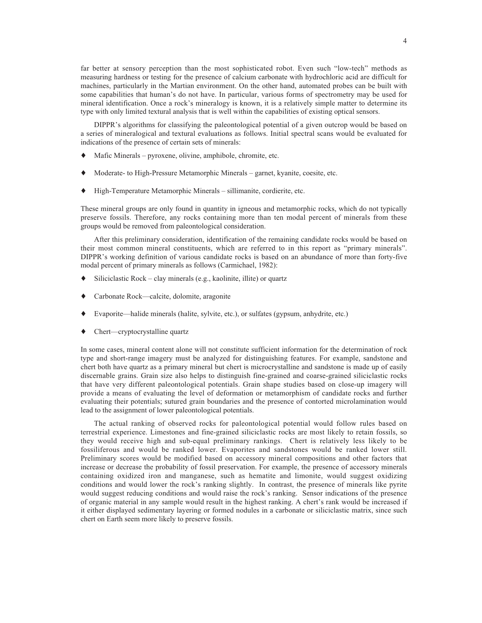far better at sensory perception than the most sophisticated robot. Even such "low-tech" methods as measuring hardness or testing for the presence of calcium carbonate with hydrochloric acid are difficult for machines, particularly in the Martian environment. On the other hand, automated probes can be built with some capabilities that human's do not have. In particular, various forms of spectrometry may be used for mineral identification. Once a rock's mineralogy is known, it is a relatively simple matter to determine its type with only limited textural analysis that is well within the capabilities of existing optical sensors.

DIPPR's algorithms for classifying the paleontological potential of a given outcrop would be based on a series of mineralogical and textural evaluations as follows. Initial spectral scans would be evaluated for indications of the presence of certain sets of minerals:

- Mafic Minerals pyroxene, olivine, amphibole, chromite, etc.
- Moderate- to High-Pressure Metamorphic Minerals garnet, kyanite, coesite, etc.
- ♦ High-Temperature Metamorphic Minerals sillimanite, cordierite, etc.

These mineral groups are only found in quantity in igneous and metamorphic rocks, which do not typically preserve fossils. Therefore, any rocks containing more than ten modal percent of minerals from these groups would be removed from paleontological consideration.

After this preliminary consideration, identification of the remaining candidate rocks would be based on their most common mineral constituents, which are referred to in this report as "primary minerals". DIPPR's working definition of various candidate rocks is based on an abundance of more than forty-five modal percent of primary minerals as follows (Carmichael, 1982):

- Siliciclastic Rock clay minerals (e.g., kaolinite, illite) or quartz
- Carbonate Rock—calcite, dolomite, aragonite
- ♦ Evaporite—halide minerals (halite, sylvite, etc.), or sulfates (gypsum, anhydrite, etc.)
- Chert—cryptocrystalline quartz

In some cases, mineral content alone will not constitute sufficient information for the determination of rock type and short-range imagery must be analyzed for distinguishing features. For example, sandstone and chert both have quartz as a primary mineral but chert is microcrystalline and sandstone is made up of easily discernable grains. Grain size also helps to distinguish fine-grained and coarse-grained siliciclastic rocks that have very different paleontological potentials. Grain shape studies based on close-up imagery will provide a means of evaluating the level of deformation or metamorphism of candidate rocks and further evaluating their potentials; sutured grain boundaries and the presence of contorted microlamination would lead to the assignment of lower paleontological potentials.

The actual ranking of observed rocks for paleontological potential would follow rules based on terrestrial experience. Limestones and fine-grained siliciclastic rocks are most likely to retain fossils, so they would receive high and sub-equal preliminary rankings. Chert is relatively less likely to be fossiliferous and would be ranked lower. Evaporites and sandstones would be ranked lower still. Preliminary scores would be modified based on accessory mineral compositions and other factors that increase or decrease the probability of fossil preservation. For example, the presence of accessory minerals containing oxidized iron and manganese, such as hematite and limonite, would suggest oxidizing conditions and would lower the rock's ranking slightly. In contrast, the presence of minerals like pyrite would suggest reducing conditions and would raise the rock's ranking. Sensor indications of the presence of organic material in any sample would result in the highest ranking. A chert's rank would be increased if it either displayed sedimentary layering or formed nodules in a carbonate or siliciclastic matrix, since such chert on Earth seem more likely to preserve fossils.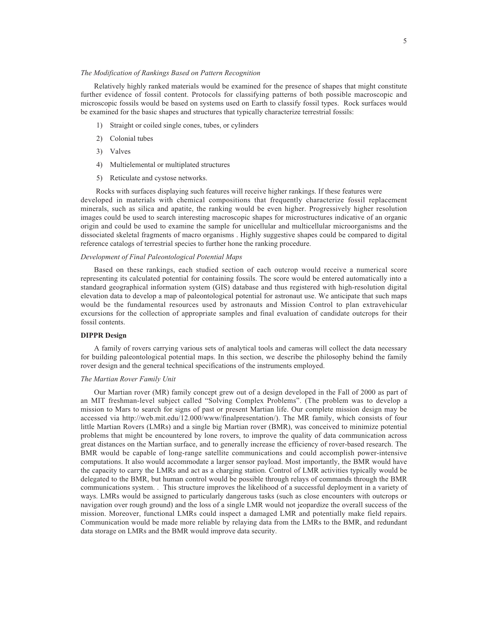# *The Modification of Rankings Based on Pattern Recognition*

Relatively highly ranked materials would be examined for the presence of shapes that might constitute further evidence of fossil content. Protocols for classifying patterns of both possible macroscopic and microscopic fossils would be based on systems used on Earth to classify fossil types. Rock surfaces would be examined for the basic shapes and structures that typically characterize terrestrial fossils:

- 1) Straight or coiled single cones, tubes, or cylinders
- 2) Colonial tubes
- 3) Valves
- 4) Multielemental or multiplated structures
- 5) Reticulate and cystose networks.

 Rocks with surfaces displaying such features will receive higher rankings. If these features were developed in materials with chemical compositions that frequently characterize fossil replacement minerals, such as silica and apatite, the ranking would be even higher. Progressively higher resolution images could be used to search interesting macroscopic shapes for microstructures indicative of an organic origin and could be used to examine the sample for unicellular and multicellular microorganisms and the dissociated skeletal fragments of macro organisms . Highly suggestive shapes could be compared to digital reference catalogs of terrestrial species to further hone the ranking procedure.

## *Development of Final Paleontological Potential Maps*

Based on these rankings, each studied section of each outcrop would receive a numerical score representing its calculated potential for containing fossils. The score would be entered automatically into a standard geographical information system (GIS) database and thus registered with high-resolution digital elevation data to develop a map of paleontological potential for astronaut use. We anticipate that such maps would be the fundamental resources used by astronauts and Mission Control to plan extravehicular excursions for the collection of appropriate samples and final evaluation of candidate outcrops for their fossil contents.

## **DIPPR Design**

A family of rovers carrying various sets of analytical tools and cameras will collect the data necessary for building paleontological potential maps. In this section, we describe the philosophy behind the family rover design and the general technical specifications of the instruments employed.

# *The Martian Rover Family Unit*

Our Martian rover (MR) family concept grew out of a design developed in the Fall of 2000 as part of an MIT freshman-level subject called "Solving Complex Problems". (The problem was to develop a mission to Mars to search for signs of past or present Martian life. Our complete mission design may be accessed via http://web.mit.edu/12.000/www/finalpresentation/). The MR family, which consists of four little Martian Rovers (LMRs) and a single big Martian rover (BMR), was conceived to minimize potential problems that might be encountered by lone rovers, to improve the quality of data communication across great distances on the Martian surface, and to generally increase the efficiency of rover-based research. The BMR would be capable of long-range satellite communications and could accomplish power-intensive computations. It also would accommodate a larger sensor payload. Most importantly, the BMR would have the capacity to carry the LMRs and act as a charging station. Control of LMR activities typically would be delegated to the BMR, but human control would be possible through relays of commands through the BMR communications system. . This structure improves the likelihood of a successful deployment in a variety of ways. LMRs would be assigned to particularly dangerous tasks (such as close encounters with outcrops or navigation over rough ground) and the loss of a single LMR would not jeopardize the overall success of the mission. Moreover, functional LMRs could inspect a damaged LMR and potentially make field repairs. Communication would be made more reliable by relaying data from the LMRs to the BMR, and redundant data storage on LMRs and the BMR would improve data security.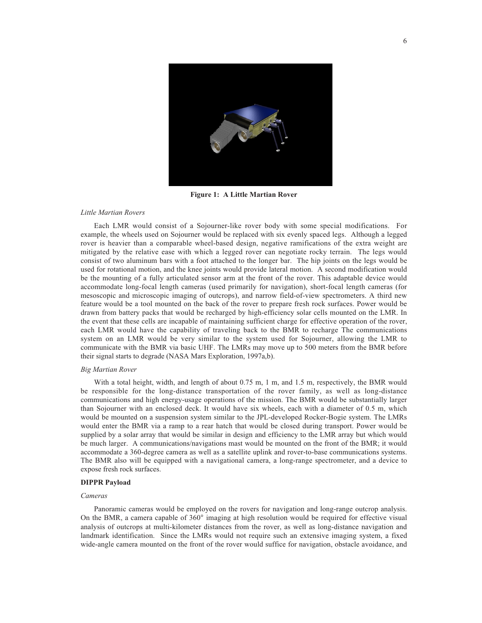

**Figure 1: A Little Martian Rover**

## *Little Martian Rovers*

Each LMR would consist of a Sojourner-like rover body with some special modifications. For example, the wheels used on Sojourner would be replaced with six evenly spaced legs. Although a legged rover is heavier than a comparable wheel-based design, negative ramifications of the extra weight are mitigated by the relative ease with which a legged rover can negotiate rocky terrain. The legs would consist of two aluminum bars with a foot attached to the longer bar. The hip joints on the legs would be used for rotational motion, and the knee joints would provide lateral motion. A second modification would be the mounting of a fully articulated sensor arm at the front of the rover. This adaptable device would accommodate long-focal length cameras (used primarily for navigation), short-focal length cameras (for mesoscopic and microscopic imaging of outcrops), and narrow field-of-view spectrometers. A third new feature would be a tool mounted on the back of the rover to prepare fresh rock surfaces. Power would be drawn from battery packs that would be recharged by high-efficiency solar cells mounted on the LMR. In the event that these cells are incapable of maintaining sufficient charge for effective operation of the rover, each LMR would have the capability of traveling back to the BMR to recharge The communications system on an LMR would be very similar to the system used for Sojourner, allowing the LMR to communicate with the BMR via basic UHF. The LMRs may move up to 500 meters from the BMR before their signal starts to degrade (NASA Mars Exploration, 1997a,b).

## *Big Martian Rover*

With a total height, width, and length of about 0.75 m, 1 m, and 1.5 m, respectively, the BMR would be responsible for the long-distance transportation of the rover family, as well as long-distance communications and high energy-usage operations of the mission. The BMR would be substantially larger than Sojourner with an enclosed deck. It would have six wheels, each with a diameter of 0.5 m, which would be mounted on a suspension system similar to the JPL-developed Rocker-Bogie system. The LMRs would enter the BMR via a ramp to a rear hatch that would be closed during transport. Power would be supplied by a solar array that would be similar in design and efficiency to the LMR array but which would be much larger. A communications/navigations mast would be mounted on the front of the BMR; it would accommodate a 360-degree camera as well as a satellite uplink and rover-to-base communications systems. The BMR also will be equipped with a navigational camera, a long-range spectrometer, and a device to expose fresh rock surfaces.

## **DIPPR Payload**

#### *Cameras*

Panoramic cameras would be employed on the rovers for navigation and long-range outcrop analysis. On the BMR, a camera capable of 360° imaging at high resolution would be required for effective visual analysis of outcrops at multi-kilometer distances from the rover, as well as long-distance navigation and landmark identification. Since the LMRs would not require such an extensive imaging system, a fixed wide-angle camera mounted on the front of the rover would suffice for navigation, obstacle avoidance, and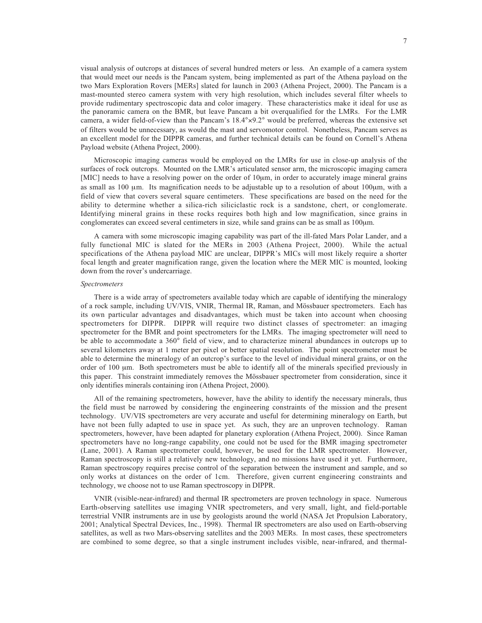visual analysis of outcrops at distances of several hundred meters or less. An example of a camera system that would meet our needs is the Pancam system, being implemented as part of the Athena payload on the two Mars Exploration Rovers [MERs] slated for launch in 2003 (Athena Project, 2000). The Pancam is a mast-mounted stereo camera system with very high resolution, which includes several filter wheels to provide rudimentary spectroscopic data and color imagery. These characteristics make it ideal for use as the panoramic camera on the BMR, but leave Pancam a bit overqualified for the LMRs. For the LMR camera, a wider field-of-view than the Pancam's 18.4°×9.2° would be preferred, whereas the extensive set of filters would be unnecessary, as would the mast and servomotor control. Nonetheless, Pancam serves as an excellent model for the DIPPR cameras, and further technical details can be found on Cornell's Athena Payload website (Athena Project, 2000).

Microscopic imaging cameras would be employed on the LMRs for use in close-up analysis of the surfaces of rock outcrops. Mounted on the LMR's articulated sensor arm, the microscopic imaging camera [MIC] needs to have a resolving power on the order of  $10 \mu m$ , in order to accurately image mineral grains as small as 100 µm. Its magnification needs to be adjustable up to a resolution of about 100µm, with a field of view that covers several square centimeters. These specifications are based on the need for the ability to determine whether a silica-rich siliciclastic rock is a sandstone, chert, or conglomerate. Identifying mineral grains in these rocks requires both high and low magnification, since grains in conglomerates can exceed several centimeters in size, while sand grains can be as small as 100µm.

A camera with some microscopic imaging capability was part of the ill-fated Mars Polar Lander, and a fully functional MIC is slated for the MERs in 2003 (Athena Project, 2000). While the actual specifications of the Athena payload MIC are unclear, DIPPR's MICs will most likely require a shorter focal length and greater magnification range, given the location where the MER MIC is mounted, looking down from the rover's undercarriage.

## *Spectrometers*

There is a wide array of spectrometers available today which are capable of identifying the mineralogy of a rock sample, including UV/VIS, VNIR, Thermal IR, Raman, and Mössbauer spectrometers. Each has its own particular advantages and disadvantages, which must be taken into account when choosing spectrometers for DIPPR. DIPPR will require two distinct classes of spectrometer: an imaging spectrometer for the BMR and point spectrometers for the LMRs. The imaging spectrometer will need to be able to accommodate a 360° field of view, and to characterize mineral abundances in outcrops up to several kilometers away at 1 meter per pixel or better spatial resolution. The point spectrometer must be able to determine the mineralogy of an outcrop's surface to the level of individual mineral grains, or on the order of 100  $\mu$ m. Both spectrometers must be able to identify all of the minerals specified previously in this paper. This constraint immediately removes the Mössbauer spectrometer from consideration, since it only identifies minerals containing iron (Athena Project, 2000).

All of the remaining spectrometers, however, have the ability to identify the necessary minerals, thus the field must be narrowed by considering the engineering constraints of the mission and the present technology. UV/VIS spectrometers are very accurate and useful for determining mineralogy on Earth, but have not been fully adapted to use in space yet. As such, they are an unproven technology. Raman spectrometers, however, have been adapted for planetary exploration (Athena Project, 2000). Since Raman spectrometers have no long-range capability, one could not be used for the BMR imaging spectrometer (Lane, 2001). A Raman spectrometer could, however, be used for the LMR spectrometer. However, Raman spectroscopy is still a relatively new technology, and no missions have used it yet. Furthermore, Raman spectroscopy requires precise control of the separation between the instrument and sample, and so only works at distances on the order of 1cm. Therefore, given current engineering constraints and technology, we choose not to use Raman spectroscopy in DIPPR.

VNIR (visible-near-infrared) and thermal IR spectrometers are proven technology in space. Numerous Earth-observing satellites use imaging VNIR spectrometers, and very small, light, and field-portable terrestrial VNIR instruments are in use by geologists around the world (NASA Jet Propulsion Laboratory, 2001; Analytical Spectral Devices, Inc., 1998). Thermal IR spectrometers are also used on Earth-observing satellites, as well as two Mars-observing satellites and the 2003 MERs. In most cases, these spectrometers are combined to some degree, so that a single instrument includes visible, near-infrared, and thermal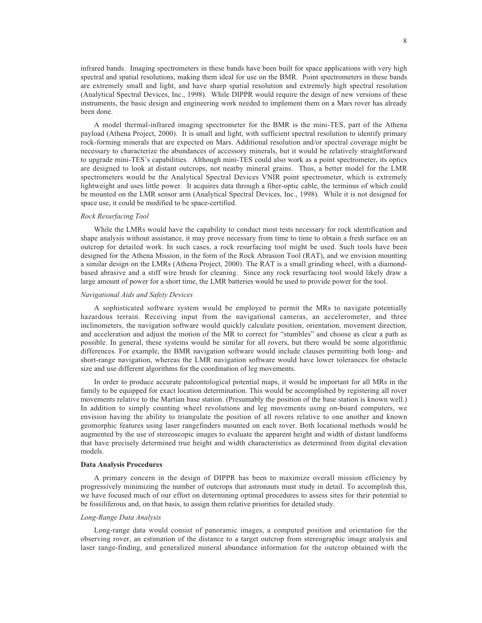infrared bands. Imaging spectrometers in these bands have been built for space applications with very high spectral and spatial resolutions, making them ideal for use on the BMR. Point spectrometers in these bands are extremely small and light, and have sharp spatial resolution and extremely high spectral resolution (Analytical Spectral Devices, Inc., 1998). While DIPPR would require the design of new versions of these instruments, the basic design and engineering work needed to implement them on a Mars rover has already been done.

A model thermal-infrared imaging spectrometer for the BMR is the mini-TES, part of the Athena payload (Athena Project, 2000). It is small and light, with sufficient spectral resolution to identify primary rock-forming minerals that are expected on Mars. Additional resolution and/or spectral coverage might be necessary to characterize the abundances of accessory minerals, but it would be relatively straightforward to upgrade mini-TES's capabilities. Although mini-TES could also work as a point spectrometer, its optics are designed to look at distant outcrops, not nearby mineral grains. Thus, a better model for the LMR spectrometers would be the Analytical Spectral Devices VNIR point spectrometer, which is extremely lightweight and uses little power. It acquires data through a fiber-optic cable, the terminus of which could be mounted on the LMR sensor arm (Analytical Spectral Devices, Inc., 1998). While it is not designed for space use, it could be modified to be space-certified.

## *Rock Resurfacing Tool*

While the LMRs would have the capability to conduct most tests necessary for rock identification and shape analysis without assistance, it may prove necessary from time to time to obtain a fresh surface on an outcrop for detailed work. In such cases, a rock resurfacing tool might be used. Such tools have been designed for the Athena Mission, in the form of the Rock Abrasion Tool (RAT), and we envision mounting a similar design on the LMRs (Athena Project, 2000). The RAT is a small grinding wheel, with a diamondbased abrasive and a stiff wire brush for cleaning. Since any rock resurfacing tool would likely draw a large amount of power for a short time, the LMR batteries would be used to provide power for the tool.

# *Navigational Aids and Safety Devices*

A sophisticated software system would be employed to permit the MRs to navigate potentially hazardous terrain. Receiving input from the navigational cameras, an accelerometer, and three inclinometers, the navigation software would quickly calculate position, orientation, movement direction, and acceleration and adjust the motion of the MR to correct for "stumbles" and choose as clear a path as possible. In general, these systems would be similar for all rovers, but there would be some algorithmic differences. For example, the BMR navigation software would include clauses permitting both long- and short-range navigation, whereas the LMR navigation software would have lower tolerances for obstacle size and use different algorithms for the coordination of leg movements.

In order to produce accurate paleontological potential maps, it would be important for all MRs in the family to be equipped for exact location determination. This would be accomplished by registering all rover movements relative to the Martian base station. (Presumably the position of the base station is known well.) In addition to simply counting wheel revolutions and leg movements using on-board computers, we envision having the ability to triangulate the position of all rovers relative to one another and known geomorphic features using laser rangefinders mounted on each rover. Both locational methods would be augmented by the use of stereoscopic images to evaluate the apparent height and width of distant landforms that have precisely determined true height and width characteristics as determined from digital elevation models.

#### **Data Analysis Procedures**

A primary concern in the design of DIPPR has been to maximize overall mission efficiency by progressively minimizing the number of outcrops that astronauts must study in detail. To accomplish this, we have focused much of our effort on determining optimal procedures to assess sites for their potential to be fossiliferous and, on that basis, to assign them relative priorities for detailed study.

#### *Long-Range Data Analysis*

Long-range data would consist of panoramic images, a computed position and orientation for the observing rover, an estimation of the distance to a target outcrop from stereographic image analysis and laser range-finding, and generalized mineral abundance information for the outcrop obtained with the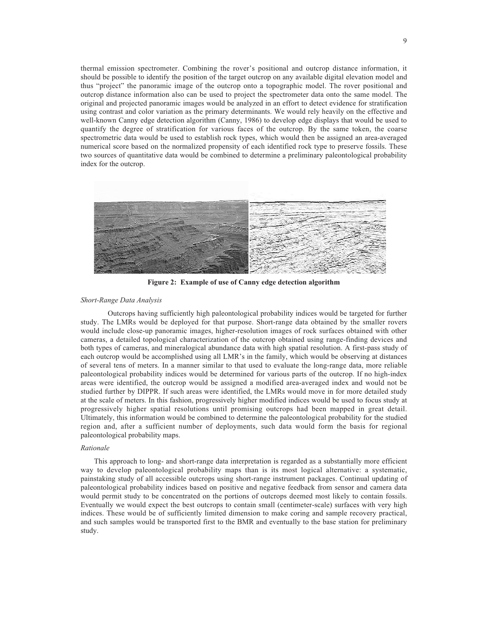thermal emission spectrometer. Combining the rover's positional and outcrop distance information, it should be possible to identify the position of the target outcrop on any available digital elevation model and thus "project" the panoramic image of the outcrop onto a topographic model. The rover positional and outcrop distance information also can be used to project the spectrometer data onto the same model. The original and projected panoramic images would be analyzed in an effort to detect evidence for stratification using contrast and color variation as the primary determinants. We would rely heavily on the effective and well-known Canny edge detection algorithm (Canny, 1986) to develop edge displays that would be used to quantify the degree of stratification for various faces of the outcrop. By the same token, the coarse spectrometric data would be used to establish rock types, which would then be assigned an area-averaged numerical score based on the normalized propensity of each identified rock type to preserve fossils. These two sources of quantitative data would be combined to determine a preliminary paleontological probability index for the outcrop.



**Figure 2: Example of use of Canny edge detection algorithm**

## *Short-Range Data Analysis*

Outcrops having sufficiently high paleontological probability indices would be targeted for further study. The LMRs would be deployed for that purpose. Short-range data obtained by the smaller rovers would include close-up panoramic images, higher-resolution images of rock surfaces obtained with other cameras, a detailed topological characterization of the outcrop obtained using range-finding devices and both types of cameras, and mineralogical abundance data with high spatial resolution. A first-pass study of each outcrop would be accomplished using all LMR's in the family, which would be observing at distances of several tens of meters. In a manner similar to that used to evaluate the long-range data, more reliable paleontological probability indices would be determined for various parts of the outcrop. If no high-index areas were identified, the outcrop would be assigned a modified area-averaged index and would not be studied further by DIPPR. If such areas were identified, the LMRs would move in for more detailed study at the scale of meters. In this fashion, progressively higher modified indices would be used to focus study at progressively higher spatial resolutions until promising outcrops had been mapped in great detail. Ultimately, this information would be combined to determine the paleontological probability for the studied region and, after a sufficient number of deployments, such data would form the basis for regional paleontological probability maps.

#### *Rationale*

This approach to long- and short-range data interpretation is regarded as a substantially more efficient way to develop paleontological probability maps than is its most logical alternative: a systematic, painstaking study of all accessible outcrops using short-range instrument packages. Continual updating of paleontological probability indices based on positive and negative feedback from sensor and camera data would permit study to be concentrated on the portions of outcrops deemed most likely to contain fossils. Eventually we would expect the best outcrops to contain small (centimeter-scale) surfaces with very high indices. These would be of sufficiently limited dimension to make coring and sample recovery practical, and such samples would be transported first to the BMR and eventually to the base station for preliminary study.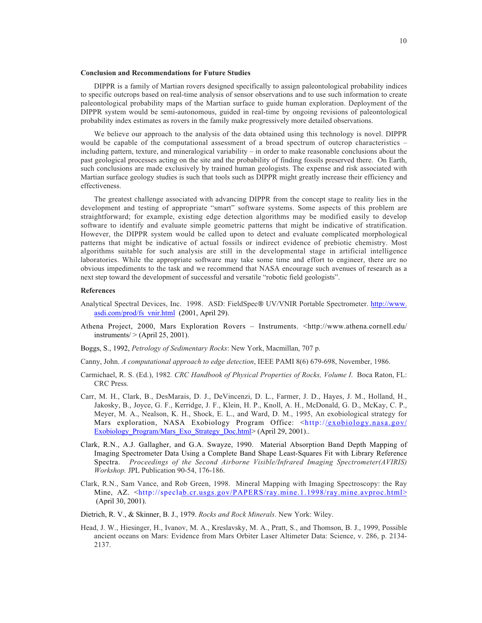#### **Conclusion and Recommendations for Future Studies**

DIPPR is a family of Martian rovers designed specifically to assign paleontological probability indices to specific outcrops based on real-time analysis of sensor observations and to use such information to create paleontological probability maps of the Martian surface to guide human exploration. Deployment of the DIPPR system would be semi-autonomous, guided in real-time by ongoing revisions of paleontological probability index estimates as rovers in the family make progressively more detailed observations.

We believe our approach to the analysis of the data obtained using this technology is novel. DIPPR would be capable of the computational assessment of a broad spectrum of outcrop characteristics – including pattern, texture, and mineralogical variability – in order to make reasonable conclusions about the past geological processes acting on the site and the probability of finding fossils preserved there. On Earth, such conclusions are made exclusively by trained human geologists. The expense and risk associated with Martian surface geology studies is such that tools such as DIPPR might greatly increase their efficiency and effectiveness.

The greatest challenge associated with advancing DIPPR from the concept stage to reality lies in the development and testing of appropriate "smart" software systems. Some aspects of this problem are straightforward; for example, existing edge detection algorithms may be modified easily to develop software to identify and evaluate simple geometric patterns that might be indicative of stratification. However, the DIPPR system would be called upon to detect and evaluate complicated morphological patterns that might be indicative of actual fossils or indirect evidence of prebiotic chemistry. Most algorithms suitable for such analysis are still in the developmental stage in artificial intelligence laboratories. While the appropriate software may take some time and effort to engineer, there are no obvious impediments to the task and we recommend that NASA encourage such avenues of research as a next step toward the development of successful and versatile "robotic field geologists".

### **References**

- Analytical Spectral Devices, Inc. 1998. ASD: FieldSpec® UV/VNIR Portable Spectrometer. http://www. asdi.com/prod/fs\_vnir.html (2001, April 29).
- Athena Project, 2000, Mars Exploration Rovers Instruments. <http://www.athena.cornell.edu/ instruments $/$  > (April 25, 2001).
- Boggs, S., 1992, *Petrology of Sedimentary Rocks*: New York, Macmillan, 707 p.

Canny, John. *A computational approach to edge detection*, IEEE PAMI 8(6) 679-698, November, 1986.

- Carmichael, R. S. (Ed.), 1982*. CRC Handbook of Physical Properties of Rocks, Volume I*. Boca Raton, FL: CRC Press.
- Carr, M. H., Clark, B., DesMarais, D. J., DeVincenzi, D. L., Farmer, J. D., Hayes, J. M., Holland, H., Jakosky, B., Joyce, G. F., Kerridge, J. F., Klein, H. P., Knoll, A. H., McDonald, G. D., McKay, C. P., Meyer, M. A., Nealson, K. H., Shock, E. L., and Ward, D. M., 1995, An exobiological strategy for Mars exploration, NASA Exobiology Program Office: <http://exobiology.nasa.gov/ Exobiology\_Program/Mars\_Exo\_Strategy\_Doc.html> (April 29, 2001)...
- Clark, R.N., A.J. Gallagher, and G.A. Swayze, 1990. Material Absorption Band Depth Mapping of Imaging Spectrometer Data Using a Complete Band Shape Least-Squares Fit with Library Reference Spectra. *Proceedings of the Second Airborne Visible/Infrared Imaging Spectrometer(AVIRIS) Workshop.* JPL Publication 90-54, 176-186.
- Clark, R.N., Sam Vance, and Rob Green, 1998. Mineral Mapping with Imaging Spectroscopy: the Ray Mine, AZ. <http://speclab.cr.usgs.gov/PAPERS/ray.mine.1.1998/ray.mine.avproc.html> (April 30, 2001).
- Dietrich, R. V., & Skinner, B. J., 1979. *Rocks and Rock Minerals*. New York: Wiley.
- Head, J. W., Hiesinger, H., Ivanov, M. A., Kreslavsky, M. A., Pratt, S., and Thomson, B. J., 1999, Possible ancient oceans on Mars: Evidence from Mars Orbiter Laser Altimeter Data: Science, v. 286, p. 2134- 2137.